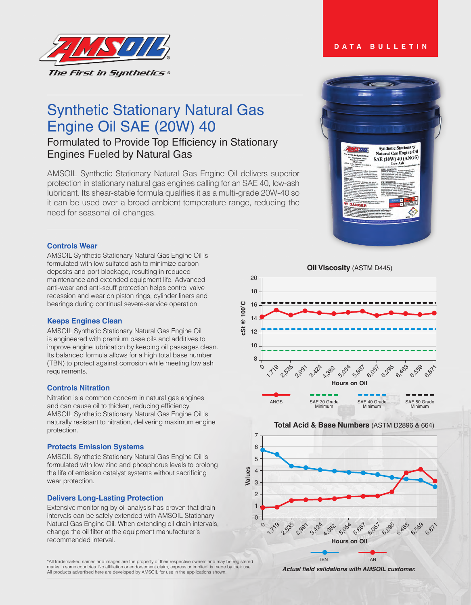

# Synthetic Stationary Natural Gas Engine Oil SAE (20W) 40

# Formulated to Provide Top Efficiency in Stationary Engines Fueled by Natural Gas

AMSOIL Synthetic Stationary Natural Gas Engine Oil delivers superior protection in stationary natural gas engines calling for an SAE 40, low-ash lubricant. Its shear-stable formula qualifies it as a multi-grade 20W-40 so it can be used over a broad ambient temperature range, reducing the need for seasonal oil changes.



**DATA BULLETIN**

# **Controls Wear**

AMSOIL Synthetic Stationary Natural Gas Engine Oil is formulated with low sulfated ash to minimize carbon deposits and port blockage, resulting in reduced maintenance and extended equipment life. Advanced anti-wear and anti-scuff protection helps control valve recession and wear on piston rings, cylinder liners and bearings during continual severe-service operation.

# **Keeps Engines Clean**

AMSOIL Synthetic Stationary Natural Gas Engine Oil is engineered with premium base oils and additives to improve engine lubrication by keeping oil passages clean. Its balanced formula allows for a high total base number (TBN) to protect against corrosion while meeting low ash requirements.

# **Controls Nitration**

Nitration is a common concern in natural gas engines and can cause oil to thicken, reducing efficiency. AMSOIL Synthetic Stationary Natural Gas Engine Oil is naturally resistant to nitration, delivering maximum engine protection.

#### **Protects Emission Systems**

AMSOIL Synthetic Stationary Natural Gas Engine Oil is formulated with low zinc and phosphorus levels to prolong the life of emission catalyst systems without sacrificing wear protection.

#### **Delivers Long-Lasting Protection**

Extensive monitoring by oil analysis has proven that drain intervals can be safely extended with AMSOIL Stationary Natural Gas Engine Oil. When extending oil drain intervals, change the oil filter at the equipment manufacturer's recommended interval.



**Total Acid & Base Numbers** (ASTM D2896 & 664)



\*All trademarked names and images are the property of their respective owners and may be registered marks in some countries. No affiliation or endorsement claim, express or implied, is made by their use. All products advertised here are developed by AMSOIL for use in the applications shown.

**Actual field validations with AMSOIL customer.**